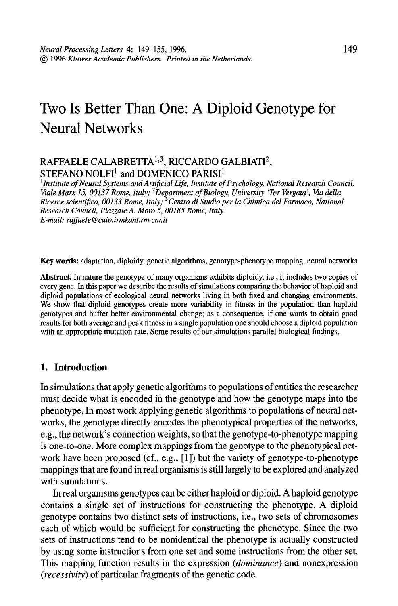# Two Is Better Than One: A Diploid Genotype for Neural Networks

## RAFFAELE CALABRETTA<sup>1,3</sup>, RICCARDO GALBIATI<sup>2</sup>, STEFANO NOLFI<sup>1</sup> and DOMENICO PARISI<sup>1</sup>

<sup>1</sup> Institute of Neural Systems and Artificial Life, Institute of Psychology, National Research Council, Viale Marx 15, 00137 Rome, Italy; <sup>2</sup>Department of Biology, University 'Tor Vergata', Via della Ricerce scienttjica, 00133 Rome, Italy; 3Centro di Studio per la Chimica de1 Farmaco, National Research Council, Piauale A. More 5, 00185 Rome, Italy E-mail: raffaele@caio.irmkant.rm.cnr.it

Key words: adaptation, diploidy, genetic algorithms, genotype-phenotype mapping, neural networks

Abstract. In nature the genotype of many organisms exhibits diploidy, i.e., it includes two copies of every gene. In this paper we describe the results of simulations comparing the behavior of haploid and diploid populations of ecological neural networks living in both fixed and changing environments. We show the populations of coological neural networks in the movement and changing characteristics we show that diploid genotypes create more variability in thus is in the population than haploid genotypes and buffer better environmental change; as a consequence, if one wants to obtain good results for both average and peak fitness in a single population one should choose a diploid population with an appropriate mutation rate. Some results of our simulations parallel biological findings.

### 1. Introduction

In simulations that apply genetic algorithms to populations of entities the researcher m simulations that apply genetic argorithms to populations of entities the researcher must decide what is encoded in the genotype and how the genotype maps into the phenotype. In most work applying genetic algorithms to populations of neural networks, the genotype directly encodes the phenotypical properties of the networks, e.g., the network's connection weights, so that the genotype-to-phenotype mapping is one-to-one. More complex mappings from the genotype to the phenotypical network have been proposed (cf., e.g., [1]) but the variety of genotype-to-phenotype mappings that are found in real organisms is still largely to be explored and analyzed with simulations. In structure general organisms general or diploid or diploid  $\alpha$  haploid general general general genotypes can be either  $\alpha$ 

In real organisms genotypes can be either haploid or diploid. A haploid genotype contains a single set of instructions for constructing the phenotype. A diploid genotype contains two distinct sets of instructions, i.e., two sets of chromosomes each of which would be sufficient for constructing the phenotype. Since the two sets of instructions tend to be nonidentical the phenotype is actually constructed by using some instructions from one set and some instructions from the other set. This mapping function results in the expression (*dominance*) and nonexpression (*recessivity*) of particular fragments of the genetic code.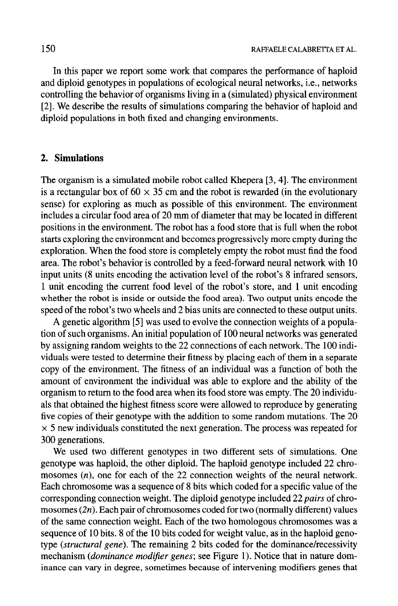In this paper we report some work that compares the performance of haploid and diploid genotypes in populations of ecological neural networks, i.e., networks controlling the behavior of organisms living in a (simulated) physical environment [2]. We describe the results of simulations comparing the behavior of haploid and diploid populations in both fixed and changing environments.

## 2. Simulations

The organism is a simulated mobile robot called Khepera [3,4]. The environment is a rectangular box of  $60 \times 35$  cm and the robot is rewarded (in the evolutionary sense) for exploring as much as possible of this environment. The environment includes a circular food area of 20 mm of diameter that may be located in different positions in the environment. The robot has a food store that is full when the robot starts exploring the environment and becomes progressively more empty during the exploration. When the food store is completely empty the robot must find the food area. The robot's behavior is controlled by a feed-forward neural network with 10 input units (8 units encoding the activation level of the robot's 8 infrared sensors, 1 unit encoding the current food level of the robot's store, and 1 unit encoding whether the robot is inside or outside the food area). Two output units encode the speed of the robot's two wheels and 2 bias units are connected to these output units.

A genetic algorithm [5] was used to evolve the connection weights of a population of such organisms. An initial population of 100 neural networks was generated by assigning random weights to the 22 connections of each network. The 100 individuals were tested to determine their fitness by placing each of them in a separate copy of the environment. The fitness of an individual was a function of both the amount of environment the individual was able to explore and the ability of the amount of environment are marviouar was able to explore and the ability of u  $\alpha$  also that  $\alpha$  fits solution that  $\alpha$  with  $\alpha$  stochastic was empty. The  $2\sigma$  murvidu als that obtained the highest fitness score were allowed to reproduce by generating. five copies of their genotype with the addition to some random mutations. The  $20$  $\times$  5 new individuals constituted the next generation. The process was repeated for 300 generations.  $\nu$  generations.

we used two different genotypes in two different sets of simulations. On genotype was haploid, the other diploid. The haploid genotype included 22 chromosomes  $(n)$ , one for each of the 22 connection weights of the neural network. Each chromosome was a sequence of 8 bits which coded for a specific value of the corresponding connection weight. The diploid genotype included 22 pairs of chromosomes  $(2n)$ . Each pair of chromosomes coded for two (normally different) values of the same connection weight. Each of the two homologous chromosomes was a sequence of 10 bits. 8 of the 10 bits coded for weight value, as in the haploid genotype (structural gene). The remaining 2 bits coded for the dominance/recessivity mechanism (*dominance modifier genes*; see Figure 1). Notice that in nature dominance can vary in degree, sometimes because of intervening modifiers genes that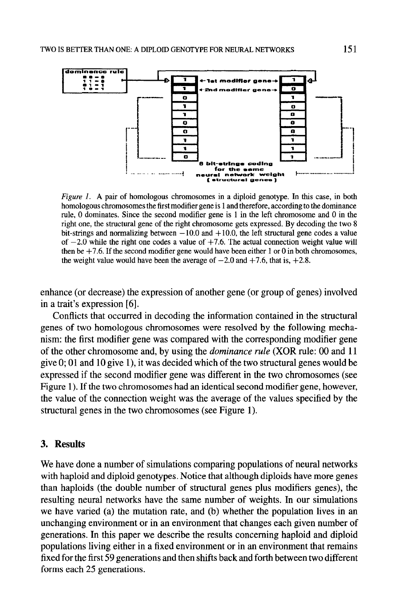

Figure 1. A pair of homologous chromosomes in a diploid genotype. In this case, in both homologous chromosomes the first modifier gene is 1 and therefore, according to the dominance rule, 0 dominates. Since the second modifier gene is 1 in the left chromosome and 0 in the right one, the structural gene of the right chromosome gets expressed. By decoding the two 8 bit-strings and normalizing between  $-10.0$  and  $+10.0$ , the left structural gene codes a value of  $-2.0$  while the right one codes a value of  $+7.6$ . The actual connection weight value will then be  $+7.6$ . If the second modifier gene would have been either 1 or 0 in both chromosomes, the weight value would have been the average of  $-2.0$  and  $+7.6$ , that is,  $+2.8$ .

enhance (or decrease) the expression of another gene (or group of genes) involved in a trait's expression [6].

Conflicts that occurred in decoding the information contained in the structural genes of two homologous chromosomes were resolved by the following mechanism: the first modifier gene was compared with the corresponding modifier gene of the other chromosome and, by using the dominance rule (XOR rule: 00 and 11 give one of the change of the two structures we change the two structures of the two structures.  $\epsilon$  ive  $\sigma$ , or and to give  $t$ ), it was decided which are two structural genes would be expressed if the second modifier gene was different in the two chromosomes (see Figure 1). If the two chromosomes had an identical second modifier gene, however, the value of the connection weight was the average of the values specified by the structural genes in the two chromosomes (see Figure 1).

#### 3. Results

We have done a number of simulations comparing populations of neural networks with haploid and diploid genotypes. Notice that although diploids have more genes than haploids (the double number of structural genes plus modifiers genes), the resulting neural networks have the same number of weights. In our simulations we have varied (a) the mutation rate, and (b) whether the population lives in an unchanging environment or in an environment that changes each given number of generations. In this paper we describe the results concerning haploid and diploid populations living either in a fixed environment or in an environment that remains fixed for the first 59 generations and then shifts back and forth between two different forms each 25 generations.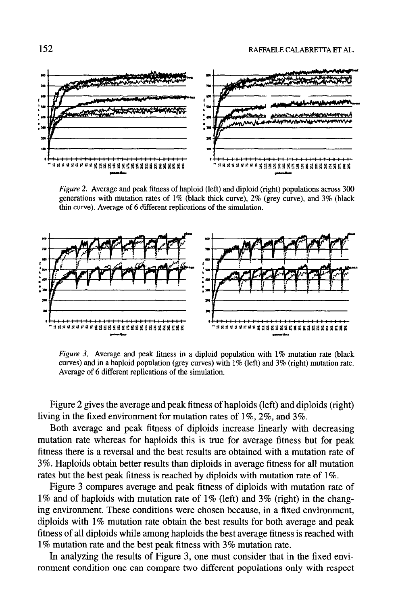

Figure 2. Average and peak fitness of haploid (left) and diploid (right) populations across 300 generations with mutation rates of 1% (black thick curve), 2% (grey curve), and 3% (black thin curve). Average of 6 different replications of the simulation.



 $r_{\textit{square}}$  . Average and peak inness in a diploid population with 1% indication rate (black curves) and in a haploid population (grey curves) with  $1\%$  (left) and  $3\%$  (right) mutation rate.<br>Average of 6 different replications of the simulation.

Figure 2 gives the average and peak fitness of haploids (left) and diploids (right)  $\frac{1}{2}$  right  $\frac{1}{2}$  gives the average and peak funess of happones (left) and  $\frac{1}{2}$ living in the fixed environment for mutation rates of  $1\%$ ,  $2\%$ , and  $3\%$ .

Both average and peak fitness of diploids increase linearly with decreasing mutation rate whereas for haploids this is true for average fitness but for peak fitness there is a reversal and the best results are obtained with a mutation rate of 3%. Haploids obtain better results than diploids in average fitness for all mutation rates but the best peak fitness is reached by diploids with mutation rate of  $1\%$ .

Figure 3 compares average and peak fitness of diploids with mutation rate of  $1\%$  and of haploids with mutation rate of  $1\%$  (left) and  $3\%$  (right) in the changing environment. These conditions were chosen because, in a fixed environment, diploids with  $1\%$  mutation rate obtain the best results for both average and peak fitness of all diploids while among haploids the best average fitness is reached with 1% mutation rate and the best peak fitness with 3% mutation rate.

In analyzing the results of Figure 3, one must consider that in the fixed environment condition one can compare two different populations only with respect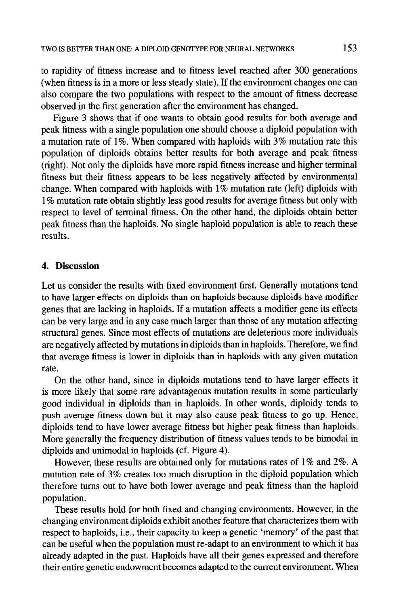to rapidity of fitness increase and to fitness level reached after 300 generations (when fitness is in a more or less steady state). If the environment changes one can also compare the two populations with respect to the amount of fitness decrease observed in the first generation after the environment has changed.

Figure 3 shows that if one wants to obtain good results for both average and peak fitness with a single population one should choose a diploid population with a mutation rate of 1%. When compared with haploids with 3% mutation rate this population of diploids obtains better results for both average and peak fitness (right). Not only the diploids have more rapid fitness increase and higher terminal fitness but their fitness appears to be less negatively affected by environmental change. When compared with haploids with  $1\%$  mutation rate (left) diploids with 1% mutation rate obtain slightly less good results for average fitness but only with respect to level of terminal fitness. On the other hand, the diploids obtain better peak fitness than the haploids. No single haploid population is able to reach these results.

#### 4. Discussion

Let us consider the results with fixed environment first. Generally mutations tend to have larger effects on diploids than on haploids because diploids have modifier genes that are lacking in haploids. If a mutation affects a modifier gene its effects can be very large and in any case much larger than those of any mutation affecting structural genes. Since most effects of mutations are deleterious more individuals are negatively affected by mutations in diploids than in haploids. Therefore, we find are hegatively affected by mutualism diploids than in haploids. Therefore, we must ulat a

On the other hand, since in diploids mutations tend to have larger effects it is more likely that some rare advantageous mutation results in some particularly good individual in diploids than in haploids. In other words, diploidy tends to push alternation but it may be a state which we have the cause of good individual in diploids with  $\frac{1}{2}$ push average litness down out it may also cause peak fitness to go up. Hence, diploids tend to have lower average fitness but higher peak fitness than haploids. More generally the frequency distribution of fitness values tends to be bimodal in diploids and unimodal in haploids (cf. Figure 4).

However, these results are obtained only for mutations rates of  $1\%$  and  $2\%$ . A mutation rate of  $3\%$  creates too much disruption in the diploid population which therefore turns out to have both lower average and peak fitness than the haploid population.  $\mathbf{D}$ ulation.

These results hold for both fixed and changing environments. However, in the changing environment diploids exhibit another feature that characterizes them with respect to haploids, i.e., their capacity to keep a genetic 'memory' of the past that can be useful when the population must re-adapt to an environment to which it has already adapted in the past. Haploids have all their genes expressed and therefore their entire genetic endowment becomes adapted to the current environment. When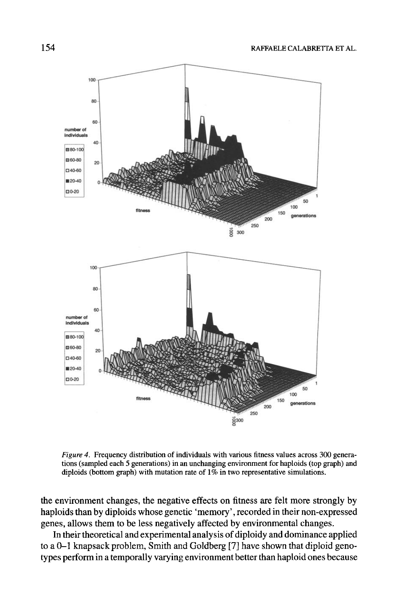

*Figure 4.* Frequency distribution of individuals with various fitness values across 300 generations (sampled each 5 generations) in an unchanging environment for haploids (top graph) and diploids (bottom graph) with mutation rate of 1% in two representative simulations.

the environment changes, the negative effects on fitness are felt more strongly by haploids than by diploids whose genetic 'memory', recorded in their non-expressed genes, allows them to be less negatively affected by environmental changes.

In their theoretical and experimental analysis of diploidy and dominance applied to a 0-1 knapsack problem, Smith and Goldberg [7] have shown that diploid genotypes perform in a temporally varying environment better than haploid ones because